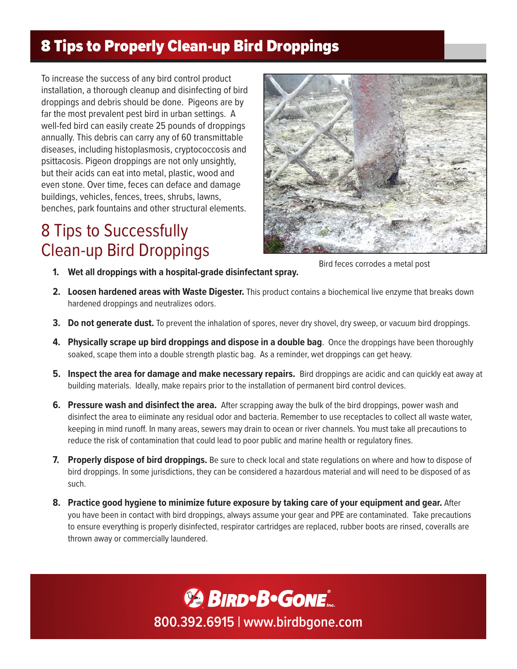### 8 Tips to Properly Clean-up Bird Droppings

To increase the success of any bird control product installation, a thorough cleanup and disinfecting of bird droppings and debris should be done. Pigeons are by far the most prevalent pest bird in urban settings. A well-fed bird can easily create 25 pounds of droppings annually. This debris can carry any of 60 transmittable diseases, including histoplasmosis, cryptococcosis and psittacosis. Pigeon droppings are not only unsightly, but their acids can eat into metal, plastic, wood and even stone. Over time, feces can deface and damage buildings, vehicles, fences, trees, shrubs, lawns, benches, park fountains and other structural elements.

# 8 Tips to Successfully Clean-up Bird Droppings



Bird feces corrodes a metal post

- **1. Wet all droppings with a hospital-grade disinfectant spray.**
- **2. Loosen hardened areas with Waste Digester.** This product contains a biochemical live enzyme that breaks down hardened droppings and neutralizes odors.
- **3. Do not generate dust.** To prevent the inhalation of spores, never dry shovel, dry sweep, or vacuum bird droppings.
- **4. Physically scrape up bird droppings and dispose in a double bag**. Once the droppings have been thoroughly soaked, scape them into a double strength plastic bag. As a reminder, wet droppings can get heavy.
- **5. Inspect the area for damage and make necessary repairs.** Bird droppings are acidic and can quickly eat away at building materials. Ideally, make repairs prior to the installation of permanent bird control devices.
- **6. Pressure wash and disinfect the area.** After scrapping away the bulk of the bird droppings, power wash and disinfect the area to eiiminate any residual odor and bacteria. Remember to use receptacles to collect all waste water, keeping in mind runoff. In many areas, sewers may drain to ocean or river channels. You must take all precautions to reduce the risk of contamination that could lead to poor public and marine health or regulatory fines.
- **7. Properly dispose of bird droppings.** Be sure to check local and state regulations on where and how to dispose of bird droppings. In some jurisdictions, they can be considered a hazardous material and will need to be disposed of as such.
- **8. Practice good hygiene to minimize future exposure by taking care of your equipment and gear.** After you have been in contact with bird droppings, always assume your gear and PPE are contaminated. Take precautions to ensure everything is properly disinfected, respirator cartridges are replaced, rubber boots are rinsed, coveralls are thrown away or commercially laundered.

**BIRD**·B·GONE<sup>®</sup> **800.392.6915 | www.birdbgone.com**